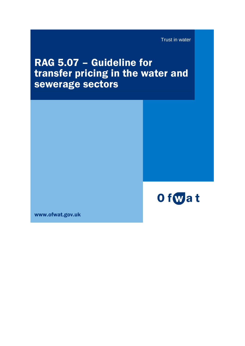Trust in water

# RAG 5.07 – Guideline for transfer pricing in the water and sewerage sectors



www.ofwat.gov.uk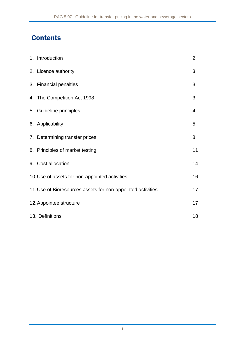## **Contents**

| 1. Introduction                                             | $\overline{2}$ |
|-------------------------------------------------------------|----------------|
| 2. Licence authority                                        | 3              |
| 3. Financial penalties                                      | 3              |
| 4. The Competition Act 1998                                 | 3              |
| 5. Guideline principles                                     | 4              |
| 6. Applicability                                            | 5              |
| 7. Determining transfer prices                              | 8              |
| 8. Principles of market testing                             | 11             |
| 9. Cost allocation                                          | 14             |
| 10. Use of assets for non-appointed activities              | 16             |
| 11. Use of Bioresources assets for non-appointed activities | 17             |
| 12. Appointee structure                                     | 17             |
| 13. Definitions                                             | 18             |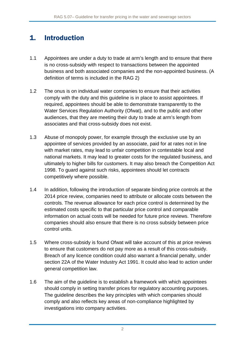### 1. Introduction

- 1.1 Appointees are under a duty to trade at arm's length and to ensure that there is no cross-subsidy with respect to transactions between the appointed business and both associated companies and the non-appointed business. (A definition of terms is included in the RAG 2)
- 1.2 The onus is on individual water companies to ensure that their activities comply with the duty and this guideline is in place to assist appointees. If required, appointees should be able to demonstrate transparently to the Water Services Regulation Authority (Ofwat), and to the public and other audiences, that they are meeting their duty to trade at arm's length from associates and that cross-subsidy does not exist.
- 1.3 Abuse of monopoly power, for example through the exclusive use by an appointee of services provided by an associate, paid for at rates not in line with market rates, may lead to unfair competition in contestable local and national markets. It may lead to greater costs for the regulated business, and ultimately to higher bills for customers. It may also breach the Competition Act 1998. To guard against such risks, appointees should let contracts competitively where possible.
- 1.4 In addition, following the introduction of separate binding price controls at the 2014 price review, companies need to attribute or allocate costs between the controls. The revenue allowance for each price control is determined by the estimated costs specific to that particular price control and comparable information on actual costs will be needed for future price reviews. Therefore companies should also ensure that there is no cross subsidy between price control units.
- 1.5 Where cross-subsidy is found Ofwat will take account of this at price reviews to ensure that customers do not pay more as a result of this cross-subsidy. Breach of any licence condition could also warrant a financial penalty, under section 22A of the Water Industry Act 1991. It could also lead to action under general competition law.
- 1.6 The aim of the guideline is to establish a framework with which appointees should comply in setting transfer prices for regulatory accounting purposes. The guideline describes the key principles with which companies should comply and also reflects key areas of non-compliance highlighted by investigations into company activities.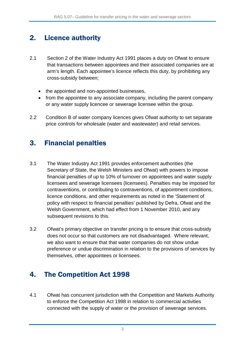### 2. Licence authority

- 2.1 Section 2 of the Water Industry Act 1991 places a duty on Ofwat to ensure that transactions between appointees and their associated companies are at arm's length. Each appointee's licence reflects this duty, by prohibiting any cross-subsidy between;
	- the appointed and non-appointed businesses,
	- from the appointee to any associate company, including the parent company or any water supply licencee or sewerage licensee within the group.
- 2.2 Condition B of water company licences gives Ofwat authority to set separate price controls for wholesale (water and wastewater) and retail services.

### 3. Financial penalties

- 3.1 The Water Industry Act 1991 provides enforcement authorities (the Secretary of State, the Welsh Ministers and Ofwat) with powers to impose financial penalties of up to 10% of turnover on appointees and water supply licensees and sewerage licensees (licensees). Penalties may be imposed for contraventions, or contributing to contraventions, of appointment conditions, licence conditions, and other requirements as noted in the 'Statement of policy with respect to financial penalties' published by Defra, Ofwat and the Welsh Government, which had effect from 1 November 2010, and any subsequent revisions to this.
- 3.2 Ofwat's primary objective on transfer pricing is to ensure that cross-subsidy does not occur so that customers are not disadvantaged. Where relevant, we also want to ensure that that water companies do not show undue preference or undue discrimination in relation to the provisions of services by themselves, other appointees or licensees.

### 4. The Competition Act 1998

4.1 Ofwat has concurrent jurisdiction with the Competition and Markets Authority to enforce the Competition Act 1998 in relation to commercial activities connected with the supply of water or the provision of sewerage services.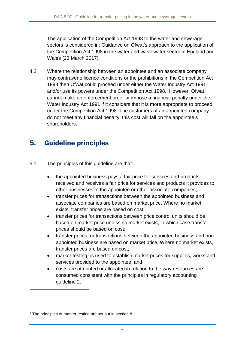The application of the Competition Act 1998 to the water and sewerage sectors is considered in: Guidance on Ofwat's approach to the application of the Competition Act 1998 in the water and wastewater sector in England and Wales (23 March 2017).

4.2 Where the relationship between an appointee and an associate company may contravene licence conditions or the prohibitions in the Competition Act 1998 then Ofwat could proceed under either the Water Industry Act 1991 and/or use its powers under the Competition Act 1998. However, Ofwat cannot make an enforcement order or impose a financial penalty under the Water Industry Act 1991 if it considers that it is more appropriate to proceed under the Competition Act 1998. The customers of an appointed company do not meet any financial penalty, this cost will fall on the appointee's shareholders.

### 5. Guideline principles

5.1 The principles of this guideline are that:

- the appointed business pays a fair price for services and products received and receives a fair price for services and products it provides to other businesses in the appointee or other associate companies;
- transfer prices for transactions between the appointed business and associate companies are based on market price. Where no market exists, transfer prices are based on cost;
- transfer prices for transactions between price control units should be based on market price unless no market exists, in which case transfer prices should be based on cost:
- transfer prices for transactions between the appointed business and non appointed business are based on market price. Where no market exists, transfer prices are based on cost;
- market-testing<sup>[1](#page-4-0)</sup> is used to establish market prices for supplies, works and services provided to the appointee; and
- costs are attributed or allocated in relation to the way resources are consumed consistent with the principles in regulatory accounting guideline 2.

-

<span id="page-4-0"></span><sup>&</sup>lt;sup>1</sup> The principles of market-testing are set out in section 8.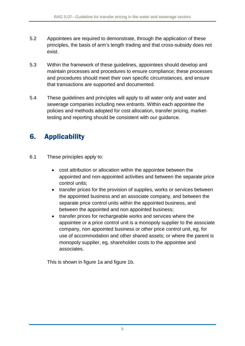- 5.2 Appointees are required to demonstrate, through the application of these principles, the basis of arm's length trading and that cross-subsidy does not exist.
- 5.3 Within the framework of these guidelines, appointees should develop and maintain processes and procedures to ensure compliance; these processes and procedures should meet their own specific circumstances, and ensure that transactions are supported and documented.
- 5.4 These guidelines and principles will apply to all water only and water and sewerage companies including new entrants. Within each appointee the policies and methods adopted for cost allocation, transfer pricing, markettesting and reporting should be consistent with our guidance.

## 6. Applicability

- 6.1 These principles apply to:
	- cost attribution or allocation within the appointee between the appointed and non-appointed activities and between the separate price control units;
	- transfer prices for the provision of supplies, works or services between the appointed business and an associate company, and between the separate price control units within the appointed business, and between the appointed and non appointed business;
	- transfer prices for rechargeable works and services where the appointee or a price control unit is a monopoly supplier to the associate company, non appointed business or other price control unit, eg, for use of accommodation and other shared assets; or where the parent is monopoly supplier, eg, shareholder costs to the appointee and associates.

This is shown in figure 1a and figure 1b.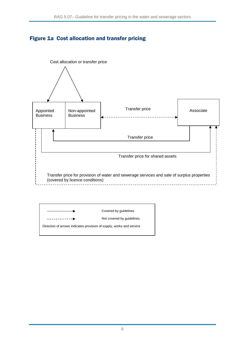#### Figure 1a Cost allocation and transfer pricing



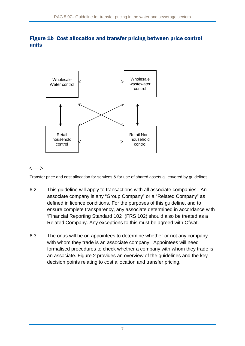#### Figure 1b Cost allocation and transfer pricing between price control units



#### $\longleftrightarrow$

Transfer price and cost allocation for services & for use of shared assets all covered by guidelines

- 6.2 This guideline will apply to transactions with all associate companies. An associate company is any "Group Company" or a "Related Company" as defined in licence conditions. For the purposes of this guideline, and to ensure complete transparency, any associate determined in accordance with 'Financial Reporting Standard 102 (FRS 102) should also be treated as a Related Company. Any exceptions to this must be agreed with Ofwat.
- 6.3 The onus will be on appointees to determine whether or not any company with whom they trade is an associate company. Appointees will need formalised procedures to check whether a company with whom they trade is an associate. Figure 2 provides an overview of the guidelines and the key decision points relating to cost allocation and transfer pricing.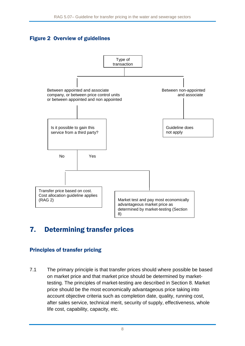#### Figure 2 Overview of guidelines



### 7. Determining transfer prices

#### Principles of transfer pricing

7.1 The primary principle is that transfer prices should where possible be based on market price and that market price should be determined by markettesting. The principles of market-testing are described in Section 8. Market price should be the most economically advantageous price taking into account objective criteria such as completion date, quality, running cost, after sales service, technical merit, security of supply, effectiveness, whole life cost, capability, capacity, etc.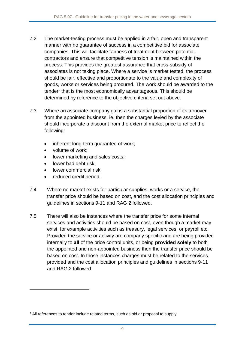- 7.2 The market-testing process must be applied in a fair, open and transparent manner with no guarantee of success in a competitive bid for associate companies. This will facilitate fairness of treatment between potential contractors and ensure that competitive tension is maintained within the process. This provides the greatest assurance that cross-subsidy of associates is not taking place. Where a service is market tested, the process should be fair, effective and proportionate to the value and complexity of goods, works or services being procured. The work should be awarded to the tender[2](#page-9-0) that is the most economically advantageous. This should be determined by reference to the objective criteria set out above.
- 7.3 Where an associate company gains a substantial proportion of its turnover from the appointed business, ie, then the charges levied by the associate should incorporate a discount from the external market price to reflect the following:
	- inherent long-term guarantee of work;
	- volume of work:

-

- lower marketing and sales costs;
- lower bad debt risk;
- lower commercial risk:
- reduced credit period.
- 7.4 Where no market exists for particular supplies, works or a service, the transfer price should be based on cost, and the cost allocation principles and guidelines in sections 9-11 and RAG 2 followed.
- 7.5 There will also be instances where the transfer price for some internal services and activities should be based on cost, even though a market may exist, for example activities such as treasury, legal services, or payroll etc. Provided the service or activity are company specific and are being provided internally to **all** of the price control units, or being **provided solely** to both the appointed and non-appointed business then the transfer price should be based on cost. In those instances charges must be related to the services provided and the cost allocation principles and guidelines in sections 9-11 and RAG 2 followed.

<span id="page-9-0"></span><sup>2</sup> All references to tender include related terms, such as bid or proposal to supply.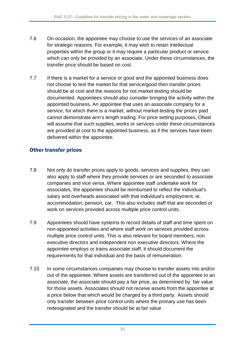- 7.6 On occasion, the appointee may choose to use the services of an associate for strategic reasons. For example, it may wish to retain intellectual properties within the group or it may require a particular product or service which can only be provided by an associate. Under these circumstances, the transfer price should be based on cost.
- 7.7 If there is a market for a service or good and the appointed business does not choose to test the market for that service/good then transfer prices should be at cost and the reasons for not market testing should be documented. Appointees should also consider bringing the activity within the appointed business. An appointee that uses an associate company for a service, for which there is a market, without market-testing the prices paid cannot demonstrate arm's length trading. For price setting purposes, Ofwat will assume that such supplies, works or services under these circumstances are provided at cost to the appointed business, as if the services have been delivered within the appointee.

#### Other transfer prices

- 7.8 Not only do transfer prices apply to goods, services and supplies, they can also apply to staff where they provide services or are seconded to associate companies and vice versa. Where appointee staff undertake work for associates, the appointee should be reimbursed to reflect the individual's salary and overheads associated with that individual's employment, ie, accommodation, pension, car. This also includes staff that are seconded or work on services provided across multiple price control units.
- 7.9 Appointees should have systems to record details of staff and time spent on non-appointed activities and where staff work on services provided across multiple price control units. This is also relevant for board members, non executive directors and independent non executive directors. Where the appointee employs or trains associate staff, it should document the requirements for that individual and the basis of remuneration.
- 7.10 In some circumstances companies may choose to transfer assets into and/or out of the appointee. Where assets are transferred out of the appointee to an associate, the associate should pay a fair price, as determined by fair value for those assets. Associates should not receive assets from the appointee at a price below that which would be charged by a third party. Assets should only transfer between price control units where the primary use has been redesignated and the transfer should be at fair value.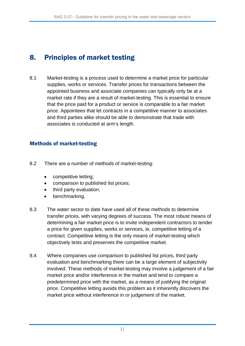### 8. Principles of market testing

8.1 Market-testing is a process used to determine a market price for particular supplies, works or services. Transfer prices for transactions between the appointed business and associate companies can typically only be at a market rate if they are a result of market-testing. This is essential to ensure that the price paid for a product or service is comparable to a fair market price. Appointees that let contracts in a competitive manner to associates and third parties alike should be able to demonstrate that trade with associates is conducted at arm's length.

#### Methods of market-testing

- 8.2 There are a number of methods of market-testing:
	- competitive letting;
	- comparison to published list prices;
	- third party evaluation;
	- benchmarking.
- 8.3 The water sector to date have used all of these methods to determine transfer prices, with varying degrees of success. The most robust means of determining a fair market price is to invite independent contractors to tender a price for given supplies, works or services, ie, competitive letting of a contract. Competitive letting is the only means of market-testing which objectively tests and preserves the competitive market.
- 8.4 Where companies use comparison to published list prices, third party evaluation and benchmarking there can be a large element of subjectivity involved. These methods of market-testing may involve a judgement of a fair market price and/or interference in the market and tend to compare a predetermined price with the market, as a means of justifying the original price. Competitive letting avoids this problem as it inherently discovers the market price without interference in or judgement of the market.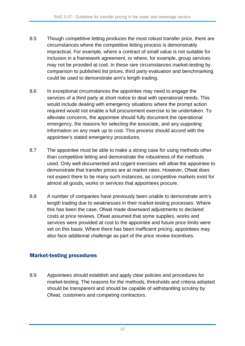- 8.5 Though competitive letting produces the most robust transfer price, there are circumstances where the competitive letting process is demonstrably impractical. For example, where a contract of small value is not suitable for inclusion in a framework agreement, or where, for example, group services may not be provided at cost. In these rare circumstances market-testing by comparison to published list prices, third party evaluation and benchmarking could be used to demonstrate arm's length trading.
- 8.6 In exceptional circumstances the appointee may need to engage the services of a third party at short notice to deal with operational needs. This would include dealing with emergency situations where the prompt action required would not enable a full procurement exercise to be undertaken. To alleviate concerns, the appointee should fully document the operational emergency, the reasons for selecting the associate, and any suppoting information on any mark up to cost. This process should accord with the appointee's stated emergency procedures.
- 8.7 The appointee must be able to make a strong case for using methods other than competitive letting and demonstrate the robustness of the methods used. Only well-documented and cogent exercises will allow the appointee to demonstrate that transfer prices are at market rates. However, Ofwat does not expect there to be many such instances, as competitive markets exist for almost all goods, works or services that appointees procure.
- 8.8 A number of companies have previously been unable to demonstrate arm's length trading due to weaknesses in their market-testing processes. Where this has been the case, Ofwat made downward adjustments to declared costs at price reviews. Ofwat assumed that some supplies, works and services were provided at cost to the appointee and future price limits were set on this basis. Where there has been inefficient pricing, appointees may also face additional challenge as part of the price review incentives.

#### Market-testing procedures

8.9 Appointees should establish and apply clear policies and procedures for market-testing. The reasons for the methods, thresholds and criteria adopted should be transparent and should be capable of withstanding scrutiny by Ofwat, customers and competing contractors.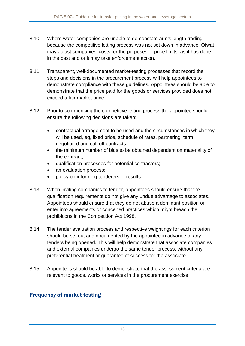- 8.10 Where water companies are unable to demonstate arm's length trading because the competitive letting process was not set down in advance, Ofwat may adjust companies' costs for the purposes of price limits, as it has done in the past and or it may take enforcement action.
- 8.11 Transparent, well-documented market-testing processes that record the steps and decisions in the procurement process will help appointees to demonstrate compliance with these guidelines. Appointees should be able to demonstrate that the price paid for the goods or services provided does not exceed a fair market price.
- 8.12 Prior to commencing the competitive letting process the appointee should ensure the following decisions are taken:
	- contractual arrangement to be used and the circumstances in which they will be used, eg, fixed price, schedule of rates, partnering, term, negotiated and call-off contracts;
	- the minimum number of bids to be obtained dependent on materiality of the contract;
	- qualification processes for potential contractors;
	- an evaluation process;
	- policy on informing tenderers of results.
- 8.13 When inviting companies to tender, appointees should ensure that the qualification requirements do not give any undue advantage to associates. Appointees should ensure that they do not abuse a dominant position or enter into agreements or concerted practices which might breach the prohibitions in the Competition Act 1998.
- 8.14 The tender evaluation process and respective weightings for each criterion should be set out and documented by the appointee in advance of any tenders being opened. This will help demonstrate that associate companies and external companies undergo the same tender process, without any preferential treatment or guarantee of success for the associate.
- 8.15 Appointees should be able to demonstrate that the assessment criteria are relevant to goods, works or services in the procurement exercise

#### Frequency of market-testing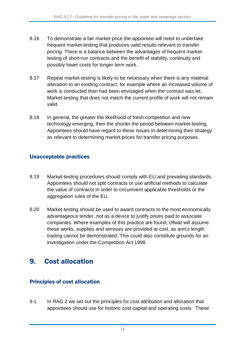- 8.16 To demonstrate a fair market price the appointee will need to undertake frequent market-testing that produces valid results relevant to transfer pricing. There is a balance between the advantages of frequent markettesting of short-run contracts and the benefit of stability, continuity and possibly lower costs for longer term work.
- 8.17 Repeat market-testing is likely to be necessary when there is any material alteration to an existing contract, for example where an increased volume of work is conducted than had been envisaged when the contract was let. Market-testing that does not match the current profile of work will not remain valid.
- 8.18 In general, the greater the likelihood of fresh competition and new technology emerging, then the shorter the period between market-testing. Appointees should have regard to these issues in determining their strategy as relevant to determining market prices for transfer pricing purposes.

#### Unacceptable practices

- 8.19 Market-testing procedures should comply with EU and prevailing standards. Appointees should not split contracts or use artificial methods to calculate the value of contracts in order to circumvent applicable thresholds or the aggregation rules of the EU.
- 8.20 Market-testing should be used to award contracts to the most economically advantageous tender, not as a device to justify prices paid to associate companies. Where examples of this practice are found, Ofwat will assume these works, supplies and services are provided at cost, as arm's length trading cannot be demonstrated. This could also constitute grounds for an investigation under the Competition Act 1998.

### 9. Cost allocation

#### Principles of cost allocation

9.1 In RAG 2 we set out the principles for cost attribution and allocation that appointees should use for historic cost capital and operating costs. These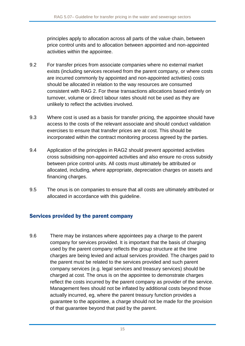principles apply to allocation across all parts of the value chain, between price control units and to allocation between appointed and non-appointed activities within the appointee.

- 9.2 For transfer prices from associate companies where no external market exists (including services received from the parent company, or where costs are incurred commonly by appointed and non-appointed activities) costs should be allocated in relation to the way resources are consumed consistent with RAG 2. For these transactions allocations based entirely on turnover, volume or direct labour rates should not be used as they are unlikely to reflect the activities involved.
- 9.3 Where cost is used as a basis for transfer pricing, the appointee should have access to the costs of the relevant associate and should conduct validation exercises to ensure that transfer prices are at cost. This should be incorporated within the contract monitoring process agreed by the parties.
- 9.4 Application of the principles in RAG2 should prevent appointed activities cross subsidising non-appointed activities and also ensure no cross subsidy between price control units. All costs must ultimately be attributed or allocated, including, where appropriate, depreciation charges on assets and financing charges.
- 9.5 The onus is on companies to ensure that all costs are ultimately attributed or allocated in accordance with this guideline.

#### Services provided by the parent company

9.6 There may be instances where appointees pay a charge to the parent company for services provided. It is important that the basis of charging used by the parent company reflects the group structure at the time charges are being levied and actual services provided. The charges paid to the parent must be related to the services provided and such parent company services (e.g. legal services and treasury services) should be charged at cost. The onus is on the appointee to demonstrate charges reflect the costs incurred by the parent company as provider of the service. Management fees should not be inflated by additional costs beyond those actually incurred, eg, where the parent treasury function provides a guarantee to the appointee, a charge should not be made for the provision of that guarantee beyond that paid by the parent.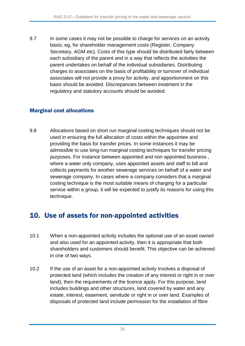9.7 In some cases it may not be possible to charge for services on an activity basis; eg, for shareholder management costs (Register, Company Secretary, AGM etc). Costs of this type should be distributed fairly between each subsidiary of the parent and in a way that reflects the activities the parent undertakes on behalf of the individual subsidiaries. Distributing charges to associates on the basis of profitability or turnover of individual associates will not provide a proxy for activity, and apportionment on this basis should be avoided. Discrepancies between treatment in the regulatory and statutory accounts should be avoided.

#### Marginal cost allocations

9.8 Allocations based on short run marginal costing techniques should not be used in ensuring the full allocation of costs within the appointee and providing the basis for transfer prices. In some instances it may be admissible to use long-run marginal costing techniques for transfer pricing purposes. For instance between appointed and non appointed business , where a water only company, uses appointed assets and staff to bill and collects payments for another sewerage services on behalf of a water and sewerage company. In cases where a company considers that a marginal costing technique is the most suitable means of charging for a particular service within a group, it will be expected to justify its reasons for using this technique.

### 10. Use of assets for non-appointed activities

- 10.1 When a non-appointed activity includes the optional use of an asset owned and also used for an appointed activity, then it is appropriate that both shareholders and customers should benefit. This objective can be achieved in one of two ways.
- 10.2 If the use of an asset for a non-appointed activity involves a disposal of protected land (which includes the creation of any interest or right in or over land), then the requirements of the licence apply. For this purpose, land includes buildings and other structures, land covered by water and any estate, interest, easement, servitude or right in or over land. Examples of disposals of protected land include permission for the installation of fibre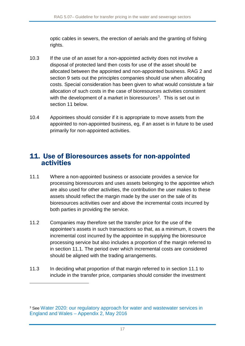optic cables in sewers, the erection of aerials and the granting of fishing rights.

- 10.3 If the use of an asset for a non-appointed activity does not involve a disposal of protected land then costs for use of the asset should be allocated between the appointed and non-appointed business. RAG 2 and section 9 sets out the principles companies should use when allocating costs. Special consideration has been given to what would consistute a fair allocation of such costs in the case of bioresources activities consistent with the development of a market in bioresources<sup>[3](#page-17-0)</sup>. This is set out in section 11 below.
- 10.4 Appointees should consider if it is appropriate to move assets from the appointed to non-appointed business, eg, if an asset is in future to be used primarily for non-appointed activities.

### 11. Use of Bioresources assets for non-appointed activities

- 11.1 Where a non-appointed business or associate provides a service for processing bioresources and uses assets belonging to the appointee which are also used for other activities, the contribution the user makes to these assets should reflect the margin made by the user on the sale of its bioresources acitivities over and above the incremental costs incurred by both parties in providing the service.
- 11.2 Companies may therefore set the transfer price for the use of the appointee's assets in such transactions so that, as a minimum, it covers the incremental cost incurred by the appointee in supplying the bioresource processing service but also includes a proportion of the margin referred to in section 11.1. The period over which incremental costs are considered should be aligned with the trading arrangements.
- 11.3 In deciding what proportion of that margin referred to in section 11.1 to include in the transfer price, companies should consider the investment

-

<span id="page-17-0"></span><sup>3</sup> See [Water 2020: our regulatory approach for water and wastewater services in](http://www.ofwat.gov.uk/wp-content/uploads/2015/12/pap_tec20150525w2020app2.pdf)  England and Wales – [Appendix 2, May 2016](http://www.ofwat.gov.uk/wp-content/uploads/2015/12/pap_tec20150525w2020app2.pdf)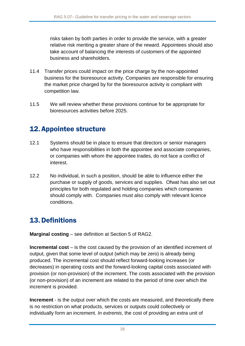risks taken by both parties in order to provide the service, with a greater relative risk meriting a greater share of the reward. Appointees should also take account of balancing the interests of customers of the appointed business and shareholders.

- 11.4 Transfer prices could impact on the price charge by the non-appointed business for the bioresource activity. Companies are responsible for ensuring the market price charged by for the bioresource activity is compliant with competition law.
- 11.5 We will review whether these provisions continue for be appropriate for bioresources activities before 2025.

### 12.Appointee structure

- 12.1 Systems should be in place to ensure that directors or senior managers who have responsibilities in both the appointee and associate companies, or companies with whom the appointee trades, do not face a conflict of interest.
- 12.2 No individual, in such a position, should be able to influence either the purchase or supply of goods, services and supplies. Ofwat has also set out principles for both regulated and holding companies which companies should comply with. Companies must also comply with relevant licence conditions.

## 13.Definitions

**Marginal costing** – see definition at Section 5 of RAG2.

**Incremental cost** – is the cost caused by the provision of an identified increment of output, given that some level of output (which may be zero) is already being produced. The incremental cost should reflect forward-looking increases (or decreases) in operating costs and the forward-looking capital costs associated with provision (or non-provision) of the increment. The costs associated with the provision (or non-provision) of an increment are related to the period of time over which the increment is provided.

**Increment** - is the output over which the costs are measured, and theoretically there is no restriction on what products, services or outputs could collectively or individually form an increment. *In extremis*, the cost of providing an extra unit of